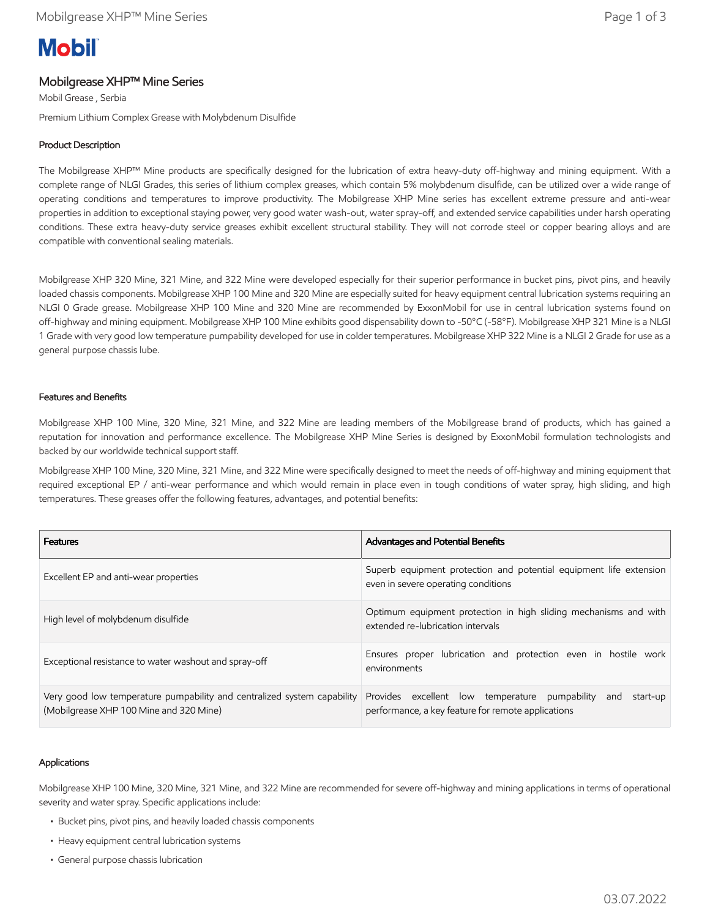# **Mobil**

# Mobilgrease XHP™ Mine Series

Mobil Grease , Serbia

Premium Lithium Complex Grease with Molybdenum Disulfide

## Product Description

The Mobilgrease XHP™ Mine products are specifically designed for the lubrication of extra heavy-duty off-highway and mining equipment. With a complete range of NLGI Grades, this series of lithium complex greases, which contain 5% molybdenum disulfide, can be utilized over a wide range of operating conditions and temperatures to improve productivity. The Mobilgrease XHP Mine series has excellent extreme pressure and anti-wear properties in addition to exceptional staying power, very good water wash-out, water spray-off, and extended service capabilities under harsh operating conditions. These extra heavy-duty service greases exhibit excellent structural stability. They will not corrode steel or copper bearing alloys and are compatible with conventional sealing materials.

Mobilgrease XHP 320 Mine, 321 Mine, and 322 Mine were developed especially for their superior performance in bucket pins, pivot pins, and heavily loaded chassis components. Mobilgrease XHP 100 Mine and 320 Mine are especially suited for heavy equipment central lubrication systems requiring an NLGI 0 Grade grease. Mobilgrease XHP 100 Mine and 320 Mine are recommended by ExxonMobil for use in central lubrication systems found on off-highway and mining equipment. Mobilgrease XHP 100 Mine exhibits good dispensability down to -50°C (-58°F). Mobilgrease XHP 321 Mine is a NLGI 1 Grade with very good low temperature pumpability developed for use in colder temperatures. Mobilgrease XHP 322 Mine is a NLGI 2 Grade for use as a general purpose chassis lube.

#### Features and Benefits

Mobilgrease XHP 100 Mine, 320 Mine, 321 Mine, and 322 Mine are leading members of the Mobilgrease brand of products, which has gained a reputation for innovation and performance excellence. The Mobilgrease XHP Mine Series is designed by ExxonMobil formulation technologists and backed by our worldwide technical support staff.

Mobilgrease XHP 100 Mine, 320 Mine, 321 Mine, and 322 Mine were specifically designed to meet the needs of off-highway and mining equipment that required exceptional EP / anti-wear performance and which would remain in place even in tough conditions of water spray, high sliding, and high temperatures. These greases offer the following features, advantages, and potential benefits:

| <b>Features</b>                                                                                                    | Advantages and Potential Benefits                                                                                       |  |  |
|--------------------------------------------------------------------------------------------------------------------|-------------------------------------------------------------------------------------------------------------------------|--|--|
| Excellent EP and anti-wear properties                                                                              | Superb equipment protection and potential equipment life extension<br>even in severe operating conditions               |  |  |
| High level of molybdenum disulfide                                                                                 | Optimum equipment protection in high sliding mechanisms and with<br>extended re-lubrication intervals                   |  |  |
| Exceptional resistance to water washout and spray-off                                                              | Ensures proper lubrication and protection even in hostile work<br>environments                                          |  |  |
| Very good low temperature pumpability and centralized system capability<br>(Mobilgrease XHP 100 Mine and 320 Mine) | Provides excellent low temperature pumpability<br>start-up<br>and<br>performance, a key feature for remote applications |  |  |

#### Applications

Mobilgrease XHP 100 Mine, 320 Mine, 321 Mine, and 322 Mine are recommended for severe off-highway and mining applications in terms of operational severity and water spray. Specific applications include:

- Bucket pins, pivot pins, and heavily loaded chassis components
- Heavy equipment central lubrication systems
- General purpose chassis lubrication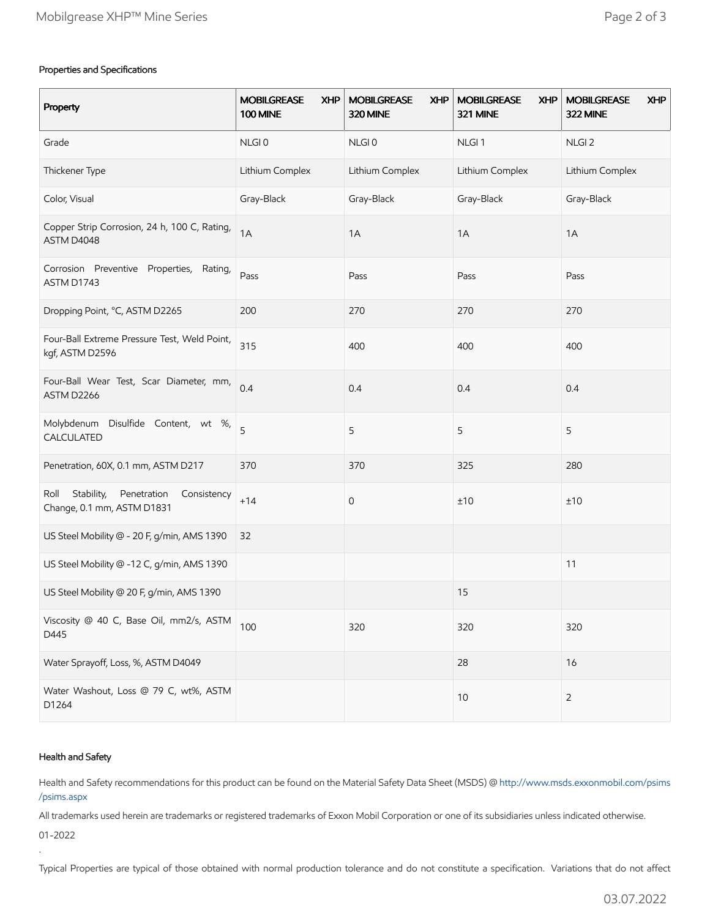### Properties and Specifications

| Property                                                                       | <b>MOBILGREASE</b><br><b>XHP</b><br><b>100 MINE</b> | <b>MOBILGREASE</b><br><b>XHP</b><br>320 MINE | <b>MOBILGREASE</b><br><b>XHP</b><br>321 MINE | <b>MOBILGREASE</b><br><b>XHP</b><br>322 MINE |
|--------------------------------------------------------------------------------|-----------------------------------------------------|----------------------------------------------|----------------------------------------------|----------------------------------------------|
| Grade                                                                          | NLGI0                                               | NLGI <sub>0</sub>                            | NLGI <sub>1</sub>                            | NLGI <sub>2</sub>                            |
| Thickener Type                                                                 | Lithium Complex                                     | Lithium Complex                              | Lithium Complex                              | Lithium Complex                              |
| Color, Visual                                                                  | Gray-Black                                          | Gray-Black                                   | Gray-Black                                   | Gray-Black                                   |
| Copper Strip Corrosion, 24 h, 100 C, Rating,<br>ASTM D4048                     | 1A                                                  | 1A                                           | 1A                                           | 1A                                           |
| Corrosion Preventive Properties, Rating,<br>ASTM D1743                         | Pass                                                | Pass                                         | Pass                                         | Pass                                         |
| Dropping Point, °C, ASTM D2265                                                 | 200                                                 | 270                                          | 270                                          | 270                                          |
| Four-Ball Extreme Pressure Test, Weld Point,<br>kgf, ASTM D2596                | 315                                                 | 400                                          | 400                                          | 400                                          |
| Four-Ball Wear Test, Scar Diameter, mm,<br>ASTM D2266                          | 0.4                                                 | 0.4                                          | 0.4                                          | 0.4                                          |
| Molybdenum Disulfide Content, wt %,<br>CALCULATED                              | 5                                                   | 5                                            | 5                                            | 5                                            |
| Penetration, 60X, 0.1 mm, ASTM D217                                            | 370                                                 | 370                                          | 325                                          | 280                                          |
| Stability,<br>Penetration<br>Roll<br>Consistency<br>Change, 0.1 mm, ASTM D1831 | $+14$                                               | 0                                            | ±10                                          | ±10                                          |
| US Steel Mobility @ - 20 F, g/min, AMS 1390                                    | 32                                                  |                                              |                                              |                                              |
| US Steel Mobility @ -12 C, g/min, AMS 1390                                     |                                                     |                                              |                                              | 11                                           |
| US Steel Mobility @ 20 F, g/min, AMS 1390                                      |                                                     |                                              | 15                                           |                                              |
| Viscosity @ 40 C, Base Oil, mm2/s, ASTM<br>D445                                | 100                                                 | 320                                          | 320                                          | 320                                          |
| Water Sprayoff, Loss, %, ASTM D4049                                            |                                                     |                                              | 28                                           | 16                                           |
| Water Washout, Loss @ 79 C, wt%, ASTM<br>D1264                                 |                                                     |                                              | $10$                                         | $\overline{2}$                               |

#### Health and Safety

Health and Safety recommendations for this product can be found on the Material Safety Data Sheet (MSDS) @ [http://www.msds.exxonmobil.com/psims](http://www.msds.exxonmobil.com/psims/psims.aspx) /psims.aspx

All trademarks used herein are trademarks or registered trademarks of Exxon Mobil Corporation or one of its subsidiaries unless indicated otherwise.

01-2022

.

Typical Properties are typical of those obtained with normal production tolerance and do not constitute a specification. Variations that do not affect